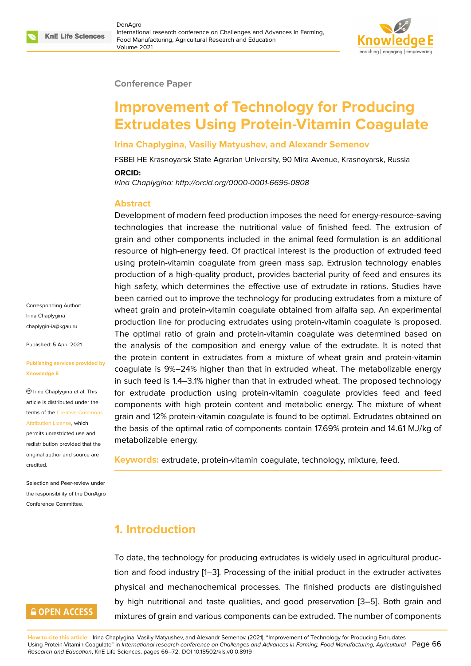#### **Conference Paper**

# **Improvement of Technology for Producing Extrudates Using Protein-Vitamin Coagulate**

#### **Irina Chaplygina, Vasiliy Matyushev, and Alexandr Semenov**

FSBEI HE Krasnoyarsk State Agrarian University, 90 Mira Avenue, Krasnoyarsk, Russia **ORCID:**

*Irina Chaplygina: http://orcid.org/0000-0001-6695-0808*

#### **Abstract**

Development of modern feed production imposes the need for energy-resource-saving technologies that increase the nutritional value of finished feed. The extrusion of grain and other components included in the animal feed formulation is an additional resource of high-energy feed. Of practical interest is the production of extruded feed using protein-vitamin coagulate from green mass sap. Extrusion technology enables production of a high-quality product, provides bacterial purity of feed and ensures its high safety, which determines the effective use of extrudate in rations. Studies have been carried out to improve the technology for producing extrudates from a mixture of wheat grain and protein-vitamin coagulate obtained from alfalfa sap. An experimental production line for producing extrudates using protein-vitamin coagulate is proposed. The optimal ratio of grain and protein-vitamin coagulate was determined based on the analysis of the composition and energy value of the extrudate. It is noted that the protein content in extrudates from a mixture of wheat grain and protein-vitamin coagulate is 9%–24% higher than that in extruded wheat. The metabolizable energy in such feed is 1.4–3.1% higher than that in extruded wheat. The proposed technology for extrudate production using protein-vitamin coagulate provides feed and feed components with high protein content and metabolic energy. The mixture of wheat grain and 12% protein-vitamin coagulate is found to be optimal. Extrudates obtained on the basis of the optimal ratio of components contain 17.69% protein and 14.61 MJ/kg of metabolizable energy.

**Keywords:** extrudate, protein-vitamin coagulate, technology, mixture, feed.

## **1. Introduction**

To date, the technology for producing extrudates is widely used in agricultural production and food industry [1–3]. Processing of the initial product in the extruder activates physical and mechanochemical processes. The finished products are distinguished by high nutritional and taste qualities, and good preservation [3–5]. Both grain and mixtures of grain and va[ri](#page-5-0)[ou](#page-5-1)s components can be extruded. The number of components

Corresponding Author: Irina Chaplygina chaplygin-ia@kgau.ru

Published: 5 April 2021

#### **[Publishing services p](mailto:chaplygin-ia@kgau.ru)rovided by Knowledge E**

Irina Chaplygina et al. This article is distributed under the terms of the Creative Commons Attribution License, which

permits unrestricted use and redistribution provided that the original auth[or and source are](https://creativecommons.org/licenses/by/4.0/) [credited.](https://creativecommons.org/licenses/by/4.0/)

Selection and Peer-review under the responsibility of the DonAgro Conference Committee.

## **GOPEN ACCESS**

**How to cite this article**: Irina Chaplygina, Vasiliy Matyushev, and Alexandr Semenov, (2021), "Improvement of Technology for Producing Extrudates Using Protein-Vitamin Coagulate" in *International research conference on Challenges and Advances in Farming, Food Manufact[ur](#page-5-1)in[g,](#page-5-2) Agricultural* Page 66 *Research and Education*, KnE Life Sciences, pages 66–72. DOI 10.18502/kls.v0i0.8919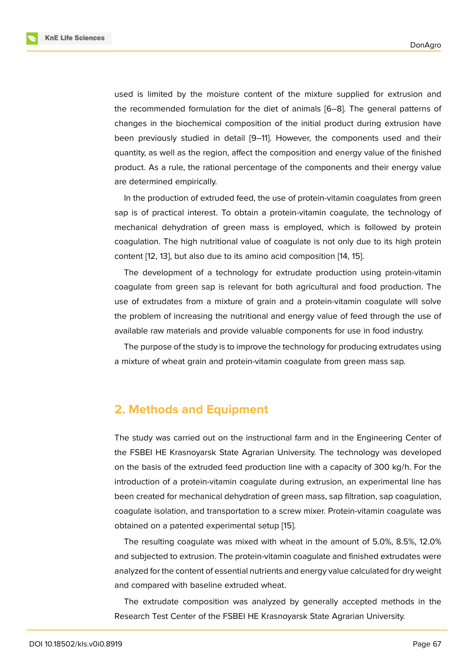used is limited by the moisture content of the mixture supplied for extrusion and the recommended formulation for the diet of animals [6–8]. The general patterns of changes in the biochemical composition of the initial product during extrusion have been previously studied in detail [9–11]. However, the components used and their quantity, as well as the region, affect the composition a[nd](#page-5-3) [en](#page-5-4)ergy value of the finished product. As a rule, the rational percentage of the components and their energy value are determined empirically.

In the production of extruded feed, the use of protein-vitamin coagulates from green sap is of practical interest. To obtain a protein-vitamin coagulate, the technology of mechanical dehydration of green mass is employed, which is followed by protein coagulation. The high nutritional value of coagulate is not only due to its high protein content [12, 13], but also due to its amino acid composition [14, 15].

The development of a technology for extrudate production using protein-vitamin coagulate from green sap is relevant for both agricultural and food production. The use of e[xtr](#page-6-0)[uda](#page-6-1)tes from a mixture of grain and a protein-v[ita](#page-6-2)[min](#page-6-3) coagulate will solve the problem of increasing the nutritional and energy value of feed through the use of available raw materials and provide valuable components for use in food industry.

The purpose of the study is to improve the technology for producing extrudates using a mixture of wheat grain and protein-vitamin coagulate from green mass sap.

### **2. Methods and Equipment**

The study was carried out on the instructional farm and in the Engineering Center of the FSBEI HE Krasnoyarsk State Agrarian University. The technology was developed on the basis of the extruded feed production line with a capacity of 300 kg/h. For the introduction of a protein-vitamin coagulate during extrusion, an experimental line has been created for mechanical dehydration of green mass, sap filtration, sap coagulation, coagulate isolation, and transportation to a screw mixer. Protein-vitamin coagulate was obtained on a patented experimental setup [15].

The resulting coagulate was mixed with wheat in the amount of 5.0%, 8.5%, 12.0% and subjected to extrusion. The protein-vitamin coagulate and finished extrudates were analyzed for the content of essential nutrients [an](#page-6-3)d energy value calculated for dry weight and compared with baseline extruded wheat.

The extrudate composition was analyzed by generally accepted methods in the Research Test Center of the FSBEI HE Krasnoyarsk State Agrarian University.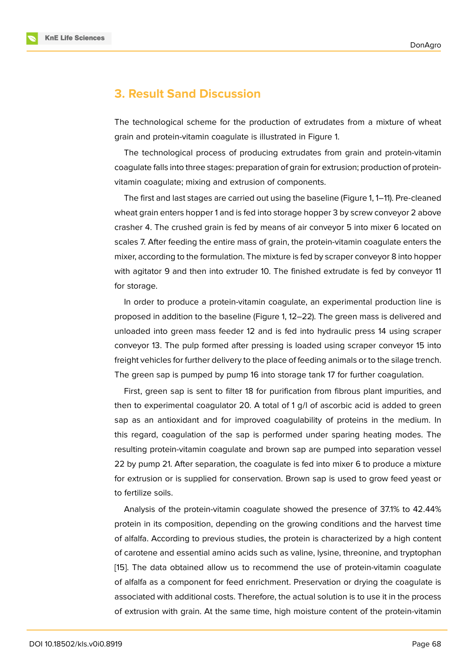## **3. Result Sand Discussion**

The technological scheme for the production of extrudates from a mixture of wheat grain and protein-vitamin coagulate is illustrated in Figure 1.

The technological process of producing extrudates from grain and protein-vitamin coagulate falls into three stages: preparation of grain for ext[ru](#page-3-0)sion; production of proteinvitamin coagulate; mixing and extrusion of components.

The first and last stages are carried out using the baseline (Figure 1, 1–11). Pre-cleaned wheat grain enters hopper 1 and is fed into storage hopper 3 by screw conveyor 2 above crasher 4. The crushed grain is fed by means of air conveyor 5 into mixer 6 located on scales 7. After feeding the entire mass of grain, the protein-vitamin c[o](#page-3-0)agulate enters the mixer, according to the formulation. The mixture is fed by scraper conveyor 8 into hopper with agitator 9 and then into extruder 10. The finished extrudate is fed by conveyor 11 for storage.

In order to produce a protein-vitamin coagulate, an experimental production line is proposed in addition to the baseline (Figure 1, 12–22). The green mass is delivered and unloaded into green mass feeder 12 and is fed into hydraulic press 14 using scraper conveyor 13. The pulp formed after pressing is loaded using scraper conveyor 15 into freight vehicles for further delivery to the plac[e](#page-3-0) of feeding animals or to the silage trench. The green sap is pumped by pump 16 into storage tank 17 for further coagulation.

First, green sap is sent to filter 18 for purification from fibrous plant impurities, and then to experimental coagulator 20. A total of 1 g/l of ascorbic acid is added to green sap as an antioxidant and for improved coagulability of proteins in the medium. In this regard, coagulation of the sap is performed under sparing heating modes. The resulting protein-vitamin coagulate and brown sap are pumped into separation vessel 22 by pump 21. After separation, the coagulate is fed into mixer 6 to produce a mixture for extrusion or is supplied for conservation. Brown sap is used to grow feed yeast or to fertilize soils.

Analysis of the protein-vitamin coagulate showed the presence of 37.1% to 42.44% protein in its composition, depending on the growing conditions and the harvest time of alfalfa. According to previous studies, the protein is characterized by a high content of carotene and essential amino acids such as valine, lysine, threonine, and tryptophan [15]. The data obtained allow us to recommend the use of protein-vitamin coagulate of alfalfa as a component for feed enrichment. Preservation or drying the coagulate is associated with additional costs. Therefore, the actual solution is to use it in the process [of e](#page-6-3)xtrusion with grain. At the same time, high moisture content of the protein-vitamin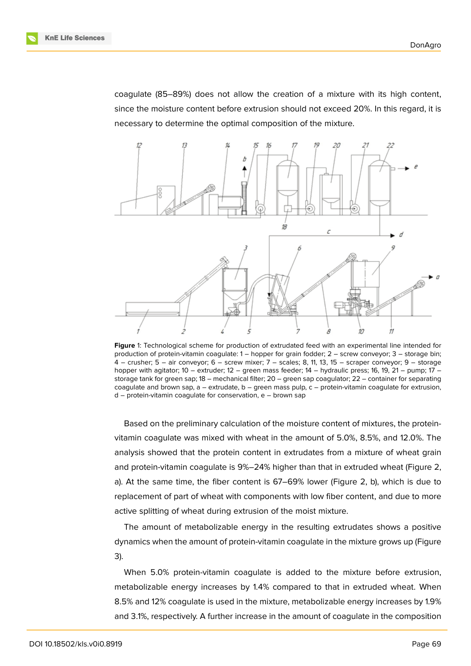coagulate (85–89%) does not allow the creation of a mixture with its high content, since the moisture content before extrusion should not exceed 20%. In this regard, it is necessary to determine the optimal composition of the mixture.



<span id="page-3-0"></span>**Figure** 1: Technological scheme for production of extrudated feed with an experimental line intended for production of protein-vitamin coagulate: 1 – hopper for grain fodder; 2 – screw conveyor; 3 – storage bin; 4 – crusher; 5 – air conveyor; 6 – screw mixer; 7 – scales; 8, 11, 13, 15 – scraper conveyor; 9 – storage hopper with agitator; 10 – extruder; 12 – green mass feeder; 14 – hydraulic press; 16, 19, 21 – pump; 17 – storage tank for green sap; 18 – mechanical filter; 20 – green sap coagulator; 22 – container for separating coagulate and brown sap,  $a -$  extrudate,  $b -$  green mass pulp,  $c -$  protein-vitamin coagulate for extrusion, d – protein-vitamin coagulate for conservation, e – brown sap

Based on the preliminary calculation of the moisture content of mixtures, the proteinvitamin coagulate was mixed with wheat in the amount of 5.0%, 8.5%, and 12.0%. The analysis showed that the protein content in extrudates from a mixture of wheat grain and protein-vitamin coagulate is 9%–24% higher than that in extruded wheat (Figure 2, a). At the same time, the fiber content is 67–69% lower (Figure 2, b), which is due to replacement of part of wheat with components with low fiber content, and due to more active splitting of wheat during extrusion of the moist mixture.

The amount of metabolizable energy in the resulting extrud[ate](#page-4-0)s shows a positive dynamics when the amount of protein-vitamin coagulate in the mixture grows up (Figure 3).

When 5.0% protein-vitamin coagulate is added to the mixture before extrusion, metabolizable energy increases by 1.4% compared to that in extruded wheat. When [8](#page-4-1).5% and 12% coagulate is used in the mixture, metabolizable energy increases by 1.9% and 3.1%, respectively. A further increase in the amount of coagulate in the composition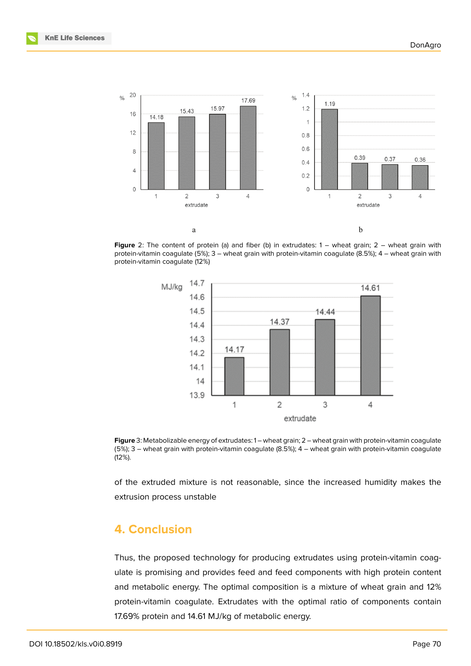

<span id="page-4-0"></span>**Figure** 2: The content of protein (a) and fiber (b) in extrudates: 1 – wheat grain; 2 – wheat grain with protein-vitamin coagulate (5%); 3 – wheat grain with protein-vitamin coagulate (8.5%); 4 – wheat grain with protein-vitamin coagulate (12%)



<span id="page-4-1"></span>**Figure** 3: Metabolizable energy of extrudates: 1 – wheat grain; 2 – wheat grain with protein-vitamin coagulate (5%); 3 – wheat grain with protein-vitamin coagulate (8.5%); 4 – wheat grain with protein-vitamin coagulate (12%).

of the extruded mixture is not reasonable, since the increased humidity makes the extrusion process unstable

## **4. Conclusion**

Thus, the proposed technology for producing extrudates using protein-vitamin coagulate is promising and provides feed and feed components with high protein content and metabolic energy. The optimal composition is a mixture of wheat grain and 12% protein-vitamin coagulate. Extrudates with the optimal ratio of components contain 17.69% protein and 14.61 MJ/kg of metabolic energy.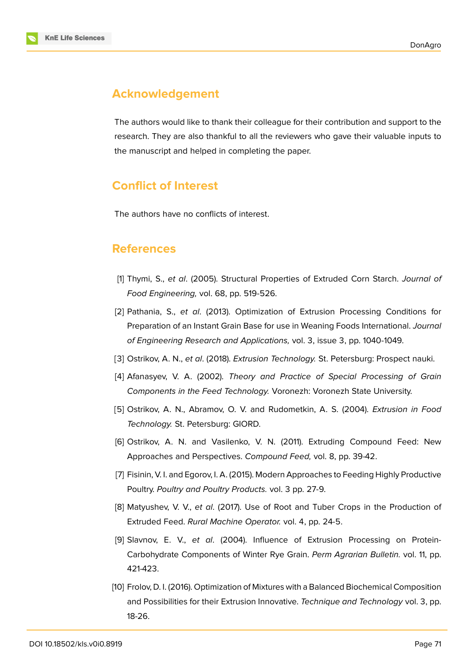

# **Acknowledgement**

The authors would like to thank their colleague for their contribution and support to the research. They are also thankful to all the reviewers who gave their valuable inputs to the manuscript and helped in completing the paper.

# **Conflict of Interest**

The authors have no conflicts of interest.

## **References**

- <span id="page-5-0"></span>[1] Thymi, S., *et al*. (2005). Structural Properties of Extruded Corn Starch. *Journal of Food Engineering,* vol. 68, pp. 519-526.
- [2] Pathania, S., *et al*. (2013). Optimization of Extrusion Processing Conditions for Preparation of an Instant Grain Base for use in Weaning Foods International. *Journal of Engineering Research and Applications,* vol. 3, issue 3, pp. 1040-1049.
- <span id="page-5-1"></span>[3] Ostrikov, A. N., *et al*. (2018). *Extrusion Technology.* St. Petersburg: Prospect nauki.
- [4] Afanasyev, V. A. (2002). *Theory and Practice of Special Processing of Grain Components in the Feed Technology.* Voronezh: Voronezh State University.
- <span id="page-5-2"></span>[5] Ostrikov, A. N., Abramov, O. V. and Rudometkin, A. S. (2004). *Extrusion in Food Technology.* St. Petersburg: GIORD.
- <span id="page-5-3"></span>[6] Ostrikov, A. N. and Vasilenko, V. N. (2011). Extruding Compound Feed: New Approaches and Perspectives. *Compound Feed,* vol. 8, pp. 39-42.
- [7] Fisinin, V. I. and Egorov, I. A. (2015). Modern Approaches to Feeding Highly Productive Poultry. *Poultry and Poultry Products.* vol. 3 pp. 27-9.
- <span id="page-5-4"></span>[8] Matyushev, V. V., *et al*. (2017). Use of Root and Tuber Crops in the Production of Extruded Feed. *Rural Machine Operator.* vol. 4, pp. 24-5.
- [9] Slavnov, E. V., *et al*. (2004). Influence of Extrusion Processing on Protein-Carbohydrate Components of Winter Rye Grain. *Perm Agrarian Bulletin.* vol. 11, pp. 421-423.
- [10] Frolov, D. I. (2016). Optimization of Mixtures with a Balanced Biochemical Composition and Possibilities for their Extrusion Innovative. *Technique and Technology* vol. 3, pp. 18-26.